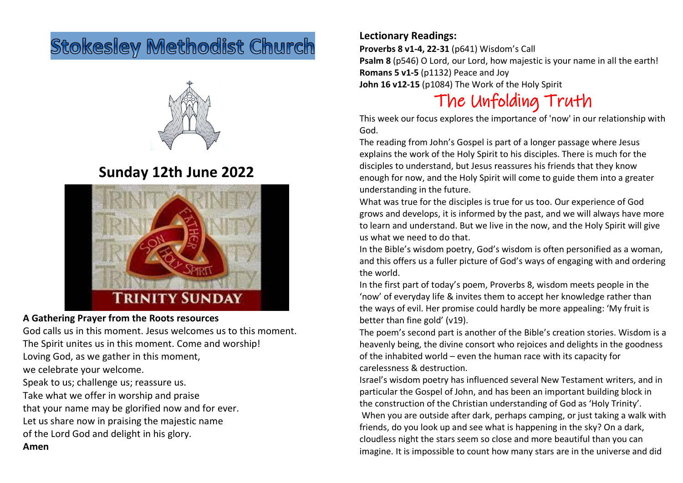# **Stokesley Methodist Church**



### **Sunday 12th June 2022**



#### **A Gathering Prayer from the Roots resources**

God calls us in this moment. Jesus welcomes us to this moment. The Spirit unites us in this moment. Come and worship! Loving God, as we gather in this moment, we celebrate your welcome. Speak to us; challenge us; reassure us. Take what we offer in worship and praise that your name may be glorified now and for ever. Let us share now in praising the majestic name

of the Lord God and delight in his glory.

**Amen**

#### **Lectionary Readings:**

**Proverbs 8 v1-4, 22-31** (p641) Wisdom's Call **Psalm 8** (p546) O Lord, our Lord, how majestic is your name in all the earth! **Romans 5 v1-5** (p1132) Peace and Joy **John 16 v12-15** (p1084) The Work of the Holy Spirit

## The Unfolding Truth

This week our focus explores the importance of 'now' in our relationship with God.

The reading from John's Gospel is part of a longer passage where Jesus explains the work of the Holy Spirit to his disciples. There is much for the disciples to understand, but Jesus reassures his friends that they know enough for now, and the Holy Spirit will come to guide them into a greater understanding in the future.

What was true for the disciples is true for us too. Our experience of God grows and develops, it is informed by the past, and we will always have more to learn and understand. But we live in the now, and the Holy Spirit will give us what we need to do that.

In the Bible's wisdom poetry, God's wisdom is often personified as a woman, and this offers us a fuller picture of God's ways of engaging with and ordering the world.

In the first part of today's poem, Proverbs 8, wisdom meets people in the 'now' of everyday life & invites them to accept her knowledge rather than the ways of evil. Her promise could hardly be more appealing: 'My fruit is better than fine gold' (v19).

The poem's second part is another of the Bible's creation stories. Wisdom is a heavenly being, the divine consort who rejoices and delights in the goodness of the inhabited world – even the human race with its capacity for carelessness & destruction.

Israel's wisdom poetry has influenced several New Testament writers, and in particular the Gospel of John, and has been an important building block in the construction of the Christian understanding of God as 'Holy Trinity'. When you are outside after dark, perhaps camping, or just taking a walk with friends, do you look up and see what is happening in the sky? On a dark, cloudless night the stars seem so close and more beautiful than you can imagine. It is impossible to count how many stars are in the universe and did